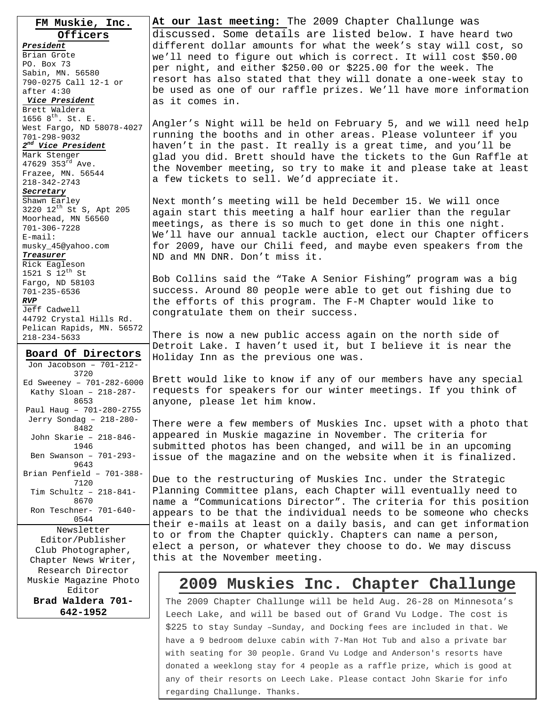**FM Muskie, Inc. Officers** *President* Brian Grote PO. Box 73 Sabin, MN. 56580 790-0275 Call 12-1 or after 4:30 *Vice President* Brett Waldera 1656  $8^{th}$ . St. E. West Fargo, ND 58078-4027 701-298-9032 *2nd Vice President* Mark Stenger 47629 353<sup>rd</sup> Ave. Frazee, MN. 56544 218-342-2743 *Secretary* Shawn Earley 3220  $12^{th}$  St S, Apt 205 Moorhead, MN 56560 701-306-7228 E-mail: musky\_45@yahoo.com *Treasurer* Rick Eagleson 1521 S  $12^{th}$  St Fargo, ND 58103 701-235-6536 *RVP* Jeff Cadwell 44792 Crystal Hills Rd. Pelican Rapids, MN. 56572 218-234-5633

**Board Of Directors** Jon Jacobson – 701-212- 3720 Ed Sweeney – 701-282-6000 Kathy Sloan – 218-287- 8653 Paul Haug – 701-280-2755 Jerry Sondag – 218-280- 8482 John Skarie – 218-846- 1946 Ben Swanson – 701-293- 9643 Brian Penfield – 701-388- 7120 Tim Schultz – 218-841- 8670 Ron Teschner- 701-640- 0544 Newsletter Editor/Publisher Club Photographer, Chapter News Writer, Research Director Muskie Magazine Photo Editor **Brad Waldera 701- 642-1952** 

 $\overline{a}$ 

**At our last meeting:** The 2009 Chapter Challunge was discussed. Some details are listed below. I have heard two different dollar amounts for what the week's stay will cost, so we'll need to figure out which is correct. It will cost \$50.00 per night, and either \$250.00 or \$225.00 for the week. The resort has also stated that they will donate a one-week stay to be used as one of our raffle prizes. We'll have more information as it comes in.

Angler's Night will be held on February 5, and we will need help running the booths and in other areas. Please volunteer if you haven't in the past. It really is a great time, and you'll be glad you did. Brett should have the tickets to the Gun Raffle at the November meeting, so try to make it and please take at least a few tickets to sell. We'd appreciate it.

Next month's meeting will be held December 15. We will once again start this meeting a half hour earlier than the regular meetings, as there is so much to get done in this one night. We'll have our annual tackle auction, elect our Chapter officers for 2009, have our Chili feed, and maybe even speakers from the ND and MN DNR. Don't miss it.

Bob Collins said the "Take A Senior Fishing" program was a big success. Around 80 people were able to get out fishing due to the efforts of this program. The F-M Chapter would like to congratulate them on their success.

There is now a new public access again on the north side of Detroit Lake. I haven't used it, but I believe it is near the Holiday Inn as the previous one was.

Brett would like to know if any of our members have any special requests for speakers for our winter meetings. If you think of anyone, please let him know.

There were a few members of Muskies Inc. upset with a photo that appeared in Muskie magazine in November. The criteria for submitted photos has been changed, and will be in an upcoming issue of the magazine and on the website when it is finalized.

Due to the restructuring of Muskies Inc. under the Strategic Planning Committee plans, each Chapter will eventually need to name a "Communications Director". The criteria for this position appears to be that the individual needs to be someone who checks their e-mails at least on a daily basis, and can get information to or from the Chapter quickly. Chapters can name a person, elect a person, or whatever they choose to do. We may discuss this at the November meeting.

### **2009 Muskies Inc. Chapter Challunge**

The 2009 Chapter Challunge will be held Aug. 26-28 on Minnesota's Leech Lake, and will be based out of Grand Vu Lodge. The cost is \$225 to stay Sunday –Sunday, and Docking fees are included in that. We have a 9 bedroom deluxe cabin with 7-Man Hot Tub and also a private bar with seating for 30 people. Grand Vu Lodge and Anderson's resorts have donated a weeklong stay for 4 people as a raffle prize, which is good at any of their resorts on Leech Lake. Please contact John Skarie for info regarding Challunge. Thanks.